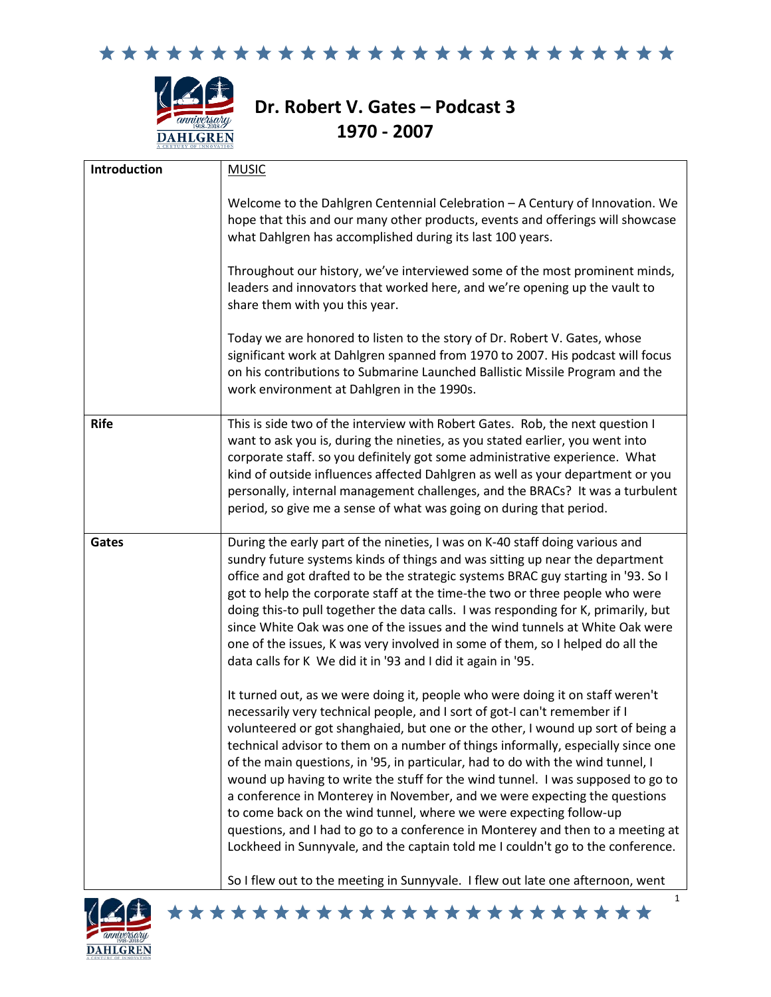



# **Dr. Robert V. Gates – Podcast 3 1970 - 2007**

| Introduction | <b>MUSIC</b>                                                                                                                                                                                                                                                                                                                                                                                                                                                                                                                                                                                                                                                                                                                                                                                                                      |
|--------------|-----------------------------------------------------------------------------------------------------------------------------------------------------------------------------------------------------------------------------------------------------------------------------------------------------------------------------------------------------------------------------------------------------------------------------------------------------------------------------------------------------------------------------------------------------------------------------------------------------------------------------------------------------------------------------------------------------------------------------------------------------------------------------------------------------------------------------------|
|              | Welcome to the Dahlgren Centennial Celebration - A Century of Innovation. We<br>hope that this and our many other products, events and offerings will showcase<br>what Dahlgren has accomplished during its last 100 years.                                                                                                                                                                                                                                                                                                                                                                                                                                                                                                                                                                                                       |
|              | Throughout our history, we've interviewed some of the most prominent minds,<br>leaders and innovators that worked here, and we're opening up the vault to<br>share them with you this year.                                                                                                                                                                                                                                                                                                                                                                                                                                                                                                                                                                                                                                       |
|              | Today we are honored to listen to the story of Dr. Robert V. Gates, whose<br>significant work at Dahlgren spanned from 1970 to 2007. His podcast will focus<br>on his contributions to Submarine Launched Ballistic Missile Program and the<br>work environment at Dahlgren in the 1990s.                                                                                                                                                                                                                                                                                                                                                                                                                                                                                                                                         |
| <b>Rife</b>  | This is side two of the interview with Robert Gates. Rob, the next question I<br>want to ask you is, during the nineties, as you stated earlier, you went into<br>corporate staff. so you definitely got some administrative experience. What<br>kind of outside influences affected Dahlgren as well as your department or you<br>personally, internal management challenges, and the BRACs? It was a turbulent<br>period, so give me a sense of what was going on during that period.                                                                                                                                                                                                                                                                                                                                           |
| Gates        | During the early part of the nineties, I was on K-40 staff doing various and<br>sundry future systems kinds of things and was sitting up near the department<br>office and got drafted to be the strategic systems BRAC guy starting in '93. So I<br>got to help the corporate staff at the time-the two or three people who were<br>doing this-to pull together the data calls. I was responding for K, primarily, but<br>since White Oak was one of the issues and the wind tunnels at White Oak were<br>one of the issues, K was very involved in some of them, so I helped do all the<br>data calls for K We did it in '93 and I did it again in '95.                                                                                                                                                                         |
|              | It turned out, as we were doing it, people who were doing it on staff weren't<br>necessarily very technical people, and I sort of got-I can't remember if I<br>volunteered or got shanghaied, but one or the other, I wound up sort of being a<br>technical advisor to them on a number of things informally, especially since one<br>of the main questions, in '95, in particular, had to do with the wind tunnel, I<br>wound up having to write the stuff for the wind tunnel. I was supposed to go to<br>a conference in Monterey in November, and we were expecting the questions<br>to come back on the wind tunnel, where we were expecting follow-up<br>questions, and I had to go to a conference in Monterey and then to a meeting at<br>Lockheed in Sunnyvale, and the captain told me I couldn't go to the conference. |
|              | So I flew out to the meeting in Sunnyvale. I flew out late one afternoon, went                                                                                                                                                                                                                                                                                                                                                                                                                                                                                                                                                                                                                                                                                                                                                    |

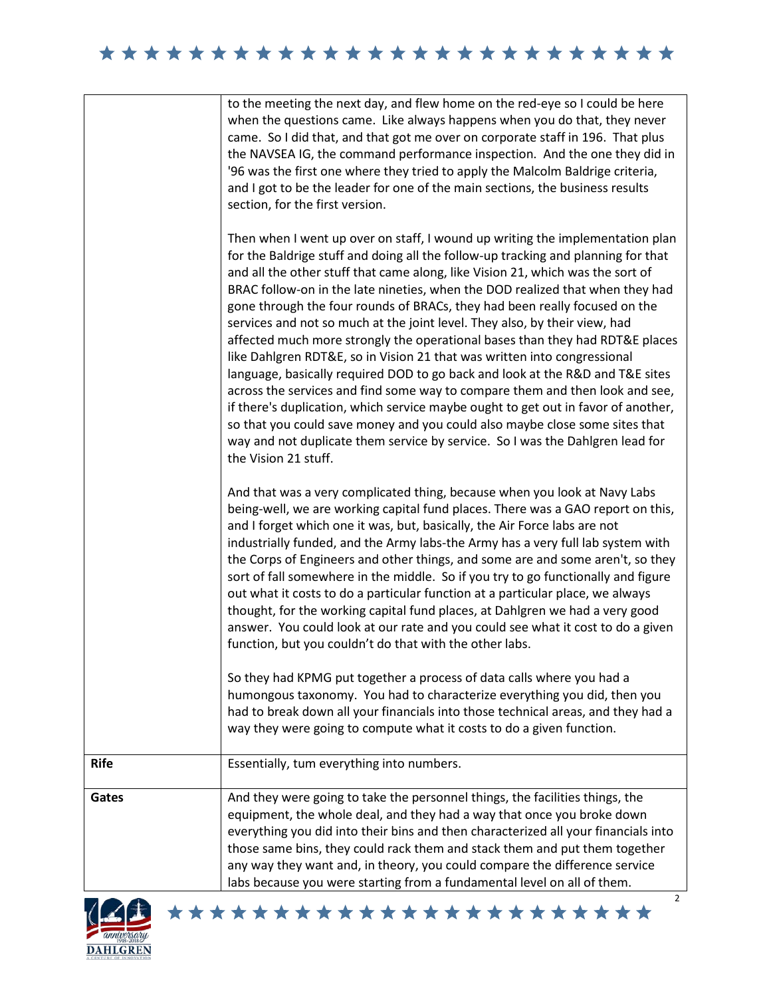|             | to the meeting the next day, and flew home on the red-eye so I could be here<br>when the questions came. Like always happens when you do that, they never<br>came. So I did that, and that got me over on corporate staff in 196. That plus<br>the NAVSEA IG, the command performance inspection. And the one they did in<br>'96 was the first one where they tried to apply the Malcolm Baldrige criteria,<br>and I got to be the leader for one of the main sections, the business results<br>section, for the first version.<br>Then when I went up over on staff, I wound up writing the implementation plan<br>for the Baldrige stuff and doing all the follow-up tracking and planning for that<br>and all the other stuff that came along, like Vision 21, which was the sort of<br>BRAC follow-on in the late nineties, when the DOD realized that when they had<br>gone through the four rounds of BRACs, they had been really focused on the<br>services and not so much at the joint level. They also, by their view, had<br>affected much more strongly the operational bases than they had RDT&E places<br>like Dahlgren RDT&E, so in Vision 21 that was written into congressional<br>language, basically required DOD to go back and look at the R&D and T&E sites<br>across the services and find some way to compare them and then look and see,<br>if there's duplication, which service maybe ought to get out in favor of another,<br>so that you could save money and you could also maybe close some sites that<br>way and not duplicate them service by service. So I was the Dahlgren lead for<br>the Vision 21 stuff.<br>And that was a very complicated thing, because when you look at Navy Labs<br>being-well, we are working capital fund places. There was a GAO report on this,<br>and I forget which one it was, but, basically, the Air Force labs are not |
|-------------|---------------------------------------------------------------------------------------------------------------------------------------------------------------------------------------------------------------------------------------------------------------------------------------------------------------------------------------------------------------------------------------------------------------------------------------------------------------------------------------------------------------------------------------------------------------------------------------------------------------------------------------------------------------------------------------------------------------------------------------------------------------------------------------------------------------------------------------------------------------------------------------------------------------------------------------------------------------------------------------------------------------------------------------------------------------------------------------------------------------------------------------------------------------------------------------------------------------------------------------------------------------------------------------------------------------------------------------------------------------------------------------------------------------------------------------------------------------------------------------------------------------------------------------------------------------------------------------------------------------------------------------------------------------------------------------------------------------------------------------------------------------------------------------------------------------------------------------------------------------------------------------------|
|             | industrially funded, and the Army labs-the Army has a very full lab system with<br>the Corps of Engineers and other things, and some are and some aren't, so they<br>sort of fall somewhere in the middle. So if you try to go functionally and figure<br>out what it costs to do a particular function at a particular place, we always<br>thought, for the working capital fund places, at Dahlgren we had a very good<br>answer. You could look at our rate and you could see what it cost to do a given<br>function, but you couldn't do that with the other labs.<br>So they had KPMG put together a process of data calls where you had a<br>humongous taxonomy. You had to characterize everything you did, then you<br>had to break down all your financials into those technical areas, and they had a<br>way they were going to compute what it costs to do a given function.                                                                                                                                                                                                                                                                                                                                                                                                                                                                                                                                                                                                                                                                                                                                                                                                                                                                                                                                                                                                     |
| <b>Rife</b> | Essentially, tum everything into numbers.                                                                                                                                                                                                                                                                                                                                                                                                                                                                                                                                                                                                                                                                                                                                                                                                                                                                                                                                                                                                                                                                                                                                                                                                                                                                                                                                                                                                                                                                                                                                                                                                                                                                                                                                                                                                                                                   |
| Gates       | And they were going to take the personnel things, the facilities things, the<br>equipment, the whole deal, and they had a way that once you broke down<br>everything you did into their bins and then characterized all your financials into<br>those same bins, they could rack them and stack them and put them together<br>any way they want and, in theory, you could compare the difference service<br>labs because you were starting from a fundamental level on all of them.<br>$\overline{2}$                                                                                                                                                                                                                                                                                                                                                                                                                                                                                                                                                                                                                                                                                                                                                                                                                                                                                                                                                                                                                                                                                                                                                                                                                                                                                                                                                                                       |

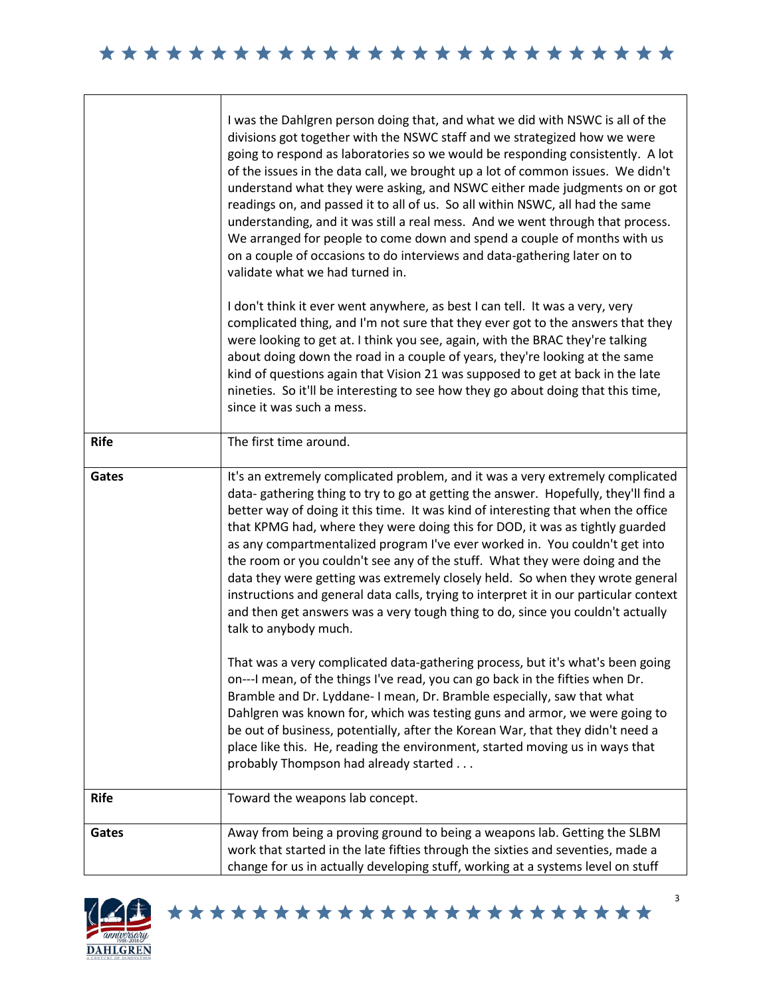|             | I was the Dahlgren person doing that, and what we did with NSWC is all of the<br>divisions got together with the NSWC staff and we strategized how we were<br>going to respond as laboratories so we would be responding consistently. A lot<br>of the issues in the data call, we brought up a lot of common issues. We didn't<br>understand what they were asking, and NSWC either made judgments on or got<br>readings on, and passed it to all of us. So all within NSWC, all had the same<br>understanding, and it was still a real mess. And we went through that process.<br>We arranged for people to come down and spend a couple of months with us<br>on a couple of occasions to do interviews and data-gathering later on to<br>validate what we had turned in.<br>I don't think it ever went anywhere, as best I can tell. It was a very, very<br>complicated thing, and I'm not sure that they ever got to the answers that they<br>were looking to get at. I think you see, again, with the BRAC they're talking<br>about doing down the road in a couple of years, they're looking at the same<br>kind of questions again that Vision 21 was supposed to get at back in the late<br>nineties. So it'll be interesting to see how they go about doing that this time,                                               |
|-------------|------------------------------------------------------------------------------------------------------------------------------------------------------------------------------------------------------------------------------------------------------------------------------------------------------------------------------------------------------------------------------------------------------------------------------------------------------------------------------------------------------------------------------------------------------------------------------------------------------------------------------------------------------------------------------------------------------------------------------------------------------------------------------------------------------------------------------------------------------------------------------------------------------------------------------------------------------------------------------------------------------------------------------------------------------------------------------------------------------------------------------------------------------------------------------------------------------------------------------------------------------------------------------------------------------------------------------------|
|             | since it was such a mess.                                                                                                                                                                                                                                                                                                                                                                                                                                                                                                                                                                                                                                                                                                                                                                                                                                                                                                                                                                                                                                                                                                                                                                                                                                                                                                          |
| <b>Rife</b> | The first time around.                                                                                                                                                                                                                                                                                                                                                                                                                                                                                                                                                                                                                                                                                                                                                                                                                                                                                                                                                                                                                                                                                                                                                                                                                                                                                                             |
| Gates       | It's an extremely complicated problem, and it was a very extremely complicated<br>data-gathering thing to try to go at getting the answer. Hopefully, they'll find a<br>better way of doing it this time. It was kind of interesting that when the office<br>that KPMG had, where they were doing this for DOD, it was as tightly guarded<br>as any compartmentalized program I've ever worked in. You couldn't get into<br>the room or you couldn't see any of the stuff. What they were doing and the<br>data they were getting was extremely closely held. So when they wrote general<br>instructions and general data calls, trying to interpret it in our particular context<br>and then get answers was a very tough thing to do, since you couldn't actually<br>talk to anybody much.<br>That was a very complicated data-gathering process, but it's what's been going<br>on---I mean, of the things I've read, you can go back in the fifties when Dr.<br>Bramble and Dr. Lyddane- I mean, Dr. Bramble especially, saw that what<br>Dahlgren was known for, which was testing guns and armor, we were going to<br>be out of business, potentially, after the Korean War, that they didn't need a<br>place like this. He, reading the environment, started moving us in ways that<br>probably Thompson had already started |
| <b>Rife</b> | Toward the weapons lab concept.                                                                                                                                                                                                                                                                                                                                                                                                                                                                                                                                                                                                                                                                                                                                                                                                                                                                                                                                                                                                                                                                                                                                                                                                                                                                                                    |
|             |                                                                                                                                                                                                                                                                                                                                                                                                                                                                                                                                                                                                                                                                                                                                                                                                                                                                                                                                                                                                                                                                                                                                                                                                                                                                                                                                    |
| Gates       | Away from being a proving ground to being a weapons lab. Getting the SLBM<br>work that started in the late fifties through the sixties and seventies, made a<br>change for us in actually developing stuff, working at a systems level on stuff                                                                                                                                                                                                                                                                                                                                                                                                                                                                                                                                                                                                                                                                                                                                                                                                                                                                                                                                                                                                                                                                                    |



 $\Gamma$ 

Τ

ヿ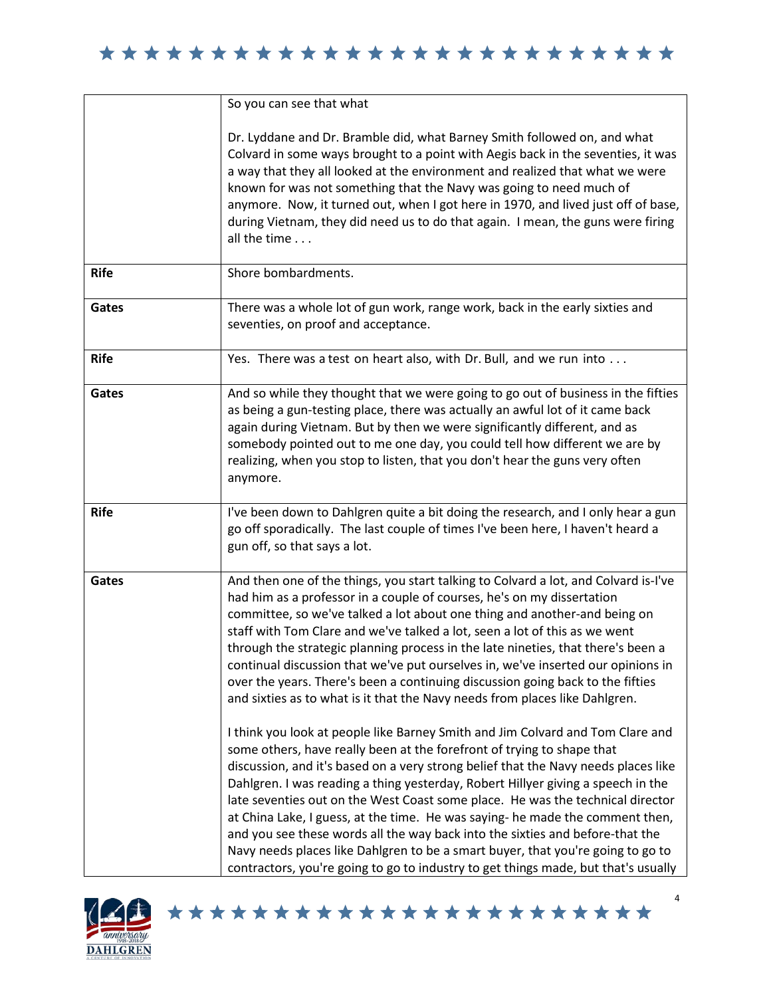|             | So you can see that what                                                                                                                                                                                                                                                                                                                                                                                                                                                                                                                                                                                                                                                                                                                                                                                                                                                                                                                                                                                                                                                                                                                                                                                                                                                                                                                                                                                                             |
|-------------|--------------------------------------------------------------------------------------------------------------------------------------------------------------------------------------------------------------------------------------------------------------------------------------------------------------------------------------------------------------------------------------------------------------------------------------------------------------------------------------------------------------------------------------------------------------------------------------------------------------------------------------------------------------------------------------------------------------------------------------------------------------------------------------------------------------------------------------------------------------------------------------------------------------------------------------------------------------------------------------------------------------------------------------------------------------------------------------------------------------------------------------------------------------------------------------------------------------------------------------------------------------------------------------------------------------------------------------------------------------------------------------------------------------------------------------|
|             | Dr. Lyddane and Dr. Bramble did, what Barney Smith followed on, and what<br>Colvard in some ways brought to a point with Aegis back in the seventies, it was<br>a way that they all looked at the environment and realized that what we were<br>known for was not something that the Navy was going to need much of<br>anymore. Now, it turned out, when I got here in 1970, and lived just off of base,<br>during Vietnam, they did need us to do that again. I mean, the guns were firing<br>all the time                                                                                                                                                                                                                                                                                                                                                                                                                                                                                                                                                                                                                                                                                                                                                                                                                                                                                                                          |
| <b>Rife</b> | Shore bombardments.                                                                                                                                                                                                                                                                                                                                                                                                                                                                                                                                                                                                                                                                                                                                                                                                                                                                                                                                                                                                                                                                                                                                                                                                                                                                                                                                                                                                                  |
| Gates       | There was a whole lot of gun work, range work, back in the early sixties and<br>seventies, on proof and acceptance.                                                                                                                                                                                                                                                                                                                                                                                                                                                                                                                                                                                                                                                                                                                                                                                                                                                                                                                                                                                                                                                                                                                                                                                                                                                                                                                  |
| <b>Rife</b> | Yes. There was a test on heart also, with Dr. Bull, and we run into                                                                                                                                                                                                                                                                                                                                                                                                                                                                                                                                                                                                                                                                                                                                                                                                                                                                                                                                                                                                                                                                                                                                                                                                                                                                                                                                                                  |
| Gates       | And so while they thought that we were going to go out of business in the fifties<br>as being a gun-testing place, there was actually an awful lot of it came back<br>again during Vietnam. But by then we were significantly different, and as<br>somebody pointed out to me one day, you could tell how different we are by<br>realizing, when you stop to listen, that you don't hear the guns very often<br>anymore.                                                                                                                                                                                                                                                                                                                                                                                                                                                                                                                                                                                                                                                                                                                                                                                                                                                                                                                                                                                                             |
| <b>Rife</b> | I've been down to Dahlgren quite a bit doing the research, and I only hear a gun<br>go off sporadically. The last couple of times I've been here, I haven't heard a<br>gun off, so that says a lot.                                                                                                                                                                                                                                                                                                                                                                                                                                                                                                                                                                                                                                                                                                                                                                                                                                                                                                                                                                                                                                                                                                                                                                                                                                  |
| Gates       | And then one of the things, you start talking to Colvard a lot, and Colvard is-I've<br>had him as a professor in a couple of courses, he's on my dissertation<br>committee, so we've talked a lot about one thing and another-and being on<br>staff with Tom Clare and we've talked a lot, seen a lot of this as we went<br>through the strategic planning process in the late nineties, that there's been a<br>continual discussion that we've put ourselves in, we've inserted our opinions in<br>over the years. There's been a continuing discussion going back to the fifties<br>and sixties as to what is it that the Navy needs from places like Dahlgren.<br>I think you look at people like Barney Smith and Jim Colvard and Tom Clare and<br>some others, have really been at the forefront of trying to shape that<br>discussion, and it's based on a very strong belief that the Navy needs places like<br>Dahlgren. I was reading a thing yesterday, Robert Hillyer giving a speech in the<br>late seventies out on the West Coast some place. He was the technical director<br>at China Lake, I guess, at the time. He was saying- he made the comment then,<br>and you see these words all the way back into the sixties and before-that the<br>Navy needs places like Dahlgren to be a smart buyer, that you're going to go to<br>contractors, you're going to go to industry to get things made, but that's usually |

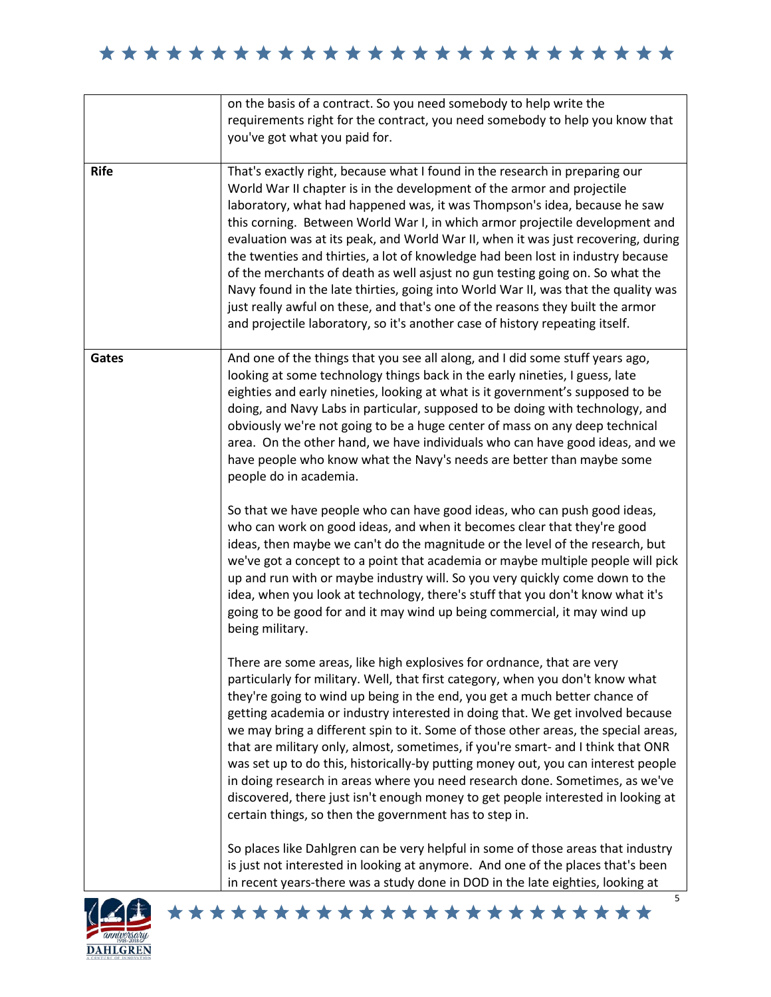| <b>Rife</b> | on the basis of a contract. So you need somebody to help write the<br>requirements right for the contract, you need somebody to help you know that<br>you've got what you paid for.<br>That's exactly right, because what I found in the research in preparing our<br>World War II chapter is in the development of the armor and projectile<br>laboratory, what had happened was, it was Thompson's idea, because he saw<br>this corning. Between World War I, in which armor projectile development and<br>evaluation was at its peak, and World War II, when it was just recovering, during<br>the twenties and thirties, a lot of knowledge had been lost in industry because                                                                                                                                     |
|-------------|-----------------------------------------------------------------------------------------------------------------------------------------------------------------------------------------------------------------------------------------------------------------------------------------------------------------------------------------------------------------------------------------------------------------------------------------------------------------------------------------------------------------------------------------------------------------------------------------------------------------------------------------------------------------------------------------------------------------------------------------------------------------------------------------------------------------------|
|             | of the merchants of death as well asjust no gun testing going on. So what the<br>Navy found in the late thirties, going into World War II, was that the quality was<br>just really awful on these, and that's one of the reasons they built the armor<br>and projectile laboratory, so it's another case of history repeating itself.                                                                                                                                                                                                                                                                                                                                                                                                                                                                                 |
| Gates       | And one of the things that you see all along, and I did some stuff years ago,<br>looking at some technology things back in the early nineties, I guess, late<br>eighties and early nineties, looking at what is it government's supposed to be<br>doing, and Navy Labs in particular, supposed to be doing with technology, and<br>obviously we're not going to be a huge center of mass on any deep technical<br>area. On the other hand, we have individuals who can have good ideas, and we<br>have people who know what the Navy's needs are better than maybe some<br>people do in academia.                                                                                                                                                                                                                     |
|             | So that we have people who can have good ideas, who can push good ideas,<br>who can work on good ideas, and when it becomes clear that they're good<br>ideas, then maybe we can't do the magnitude or the level of the research, but<br>we've got a concept to a point that academia or maybe multiple people will pick<br>up and run with or maybe industry will. So you very quickly come down to the<br>idea, when you look at technology, there's stuff that you don't know what it's<br>going to be good for and it may wind up being commercial, it may wind up<br>being military.                                                                                                                                                                                                                              |
|             | There are some areas, like high explosives for ordnance, that are very<br>particularly for military. Well, that first category, when you don't know what<br>they're going to wind up being in the end, you get a much better chance of<br>getting academia or industry interested in doing that. We get involved because<br>we may bring a different spin to it. Some of those other areas, the special areas,<br>that are military only, almost, sometimes, if you're smart- and I think that ONR<br>was set up to do this, historically-by putting money out, you can interest people<br>in doing research in areas where you need research done. Sometimes, as we've<br>discovered, there just isn't enough money to get people interested in looking at<br>certain things, so then the government has to step in. |
|             | So places like Dahlgren can be very helpful in some of those areas that industry<br>is just not interested in looking at anymore. And one of the places that's been<br>in recent years-there was a study done in DOD in the late eighties, looking at                                                                                                                                                                                                                                                                                                                                                                                                                                                                                                                                                                 |

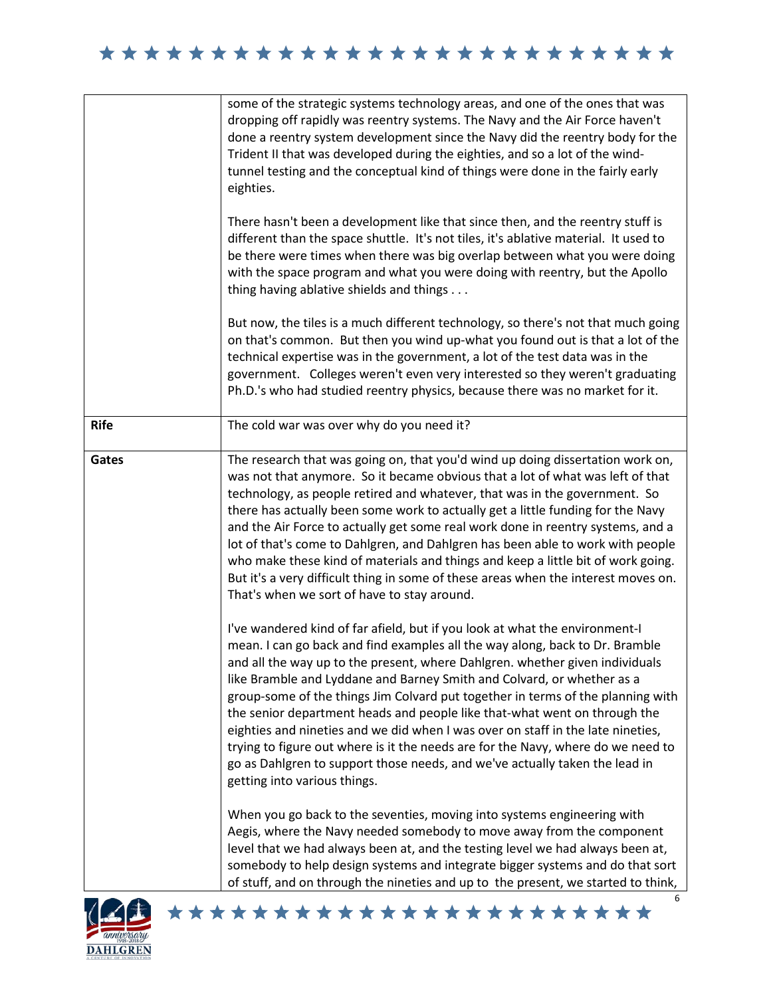|             | some of the strategic systems technology areas, and one of the ones that was<br>dropping off rapidly was reentry systems. The Navy and the Air Force haven't<br>done a reentry system development since the Navy did the reentry body for the<br>Trident II that was developed during the eighties, and so a lot of the wind-<br>tunnel testing and the conceptual kind of things were done in the fairly early<br>eighties.<br>There hasn't been a development like that since then, and the reentry stuff is<br>different than the space shuttle. It's not tiles, it's ablative material. It used to<br>be there were times when there was big overlap between what you were doing<br>with the space program and what you were doing with reentry, but the Apollo<br>thing having ablative shields and things<br>But now, the tiles is a much different technology, so there's not that much going<br>on that's common. But then you wind up-what you found out is that a lot of the<br>technical expertise was in the government, a lot of the test data was in the<br>government. Colleges weren't even very interested so they weren't graduating<br>Ph.D.'s who had studied reentry physics, because there was no market for it. |
|-------------|----------------------------------------------------------------------------------------------------------------------------------------------------------------------------------------------------------------------------------------------------------------------------------------------------------------------------------------------------------------------------------------------------------------------------------------------------------------------------------------------------------------------------------------------------------------------------------------------------------------------------------------------------------------------------------------------------------------------------------------------------------------------------------------------------------------------------------------------------------------------------------------------------------------------------------------------------------------------------------------------------------------------------------------------------------------------------------------------------------------------------------------------------------------------------------------------------------------------------------------|
| <b>Rife</b> | The cold war was over why do you need it?                                                                                                                                                                                                                                                                                                                                                                                                                                                                                                                                                                                                                                                                                                                                                                                                                                                                                                                                                                                                                                                                                                                                                                                              |
|             |                                                                                                                                                                                                                                                                                                                                                                                                                                                                                                                                                                                                                                                                                                                                                                                                                                                                                                                                                                                                                                                                                                                                                                                                                                        |
| Gates       | The research that was going on, that you'd wind up doing dissertation work on,<br>was not that anymore. So it became obvious that a lot of what was left of that<br>technology, as people retired and whatever, that was in the government. So<br>there has actually been some work to actually get a little funding for the Navy<br>and the Air Force to actually get some real work done in reentry systems, and a<br>lot of that's come to Dahlgren, and Dahlgren has been able to work with people<br>who make these kind of materials and things and keep a little bit of work going.<br>But it's a very difficult thing in some of these areas when the interest moves on.<br>That's when we sort of have to stay around.                                                                                                                                                                                                                                                                                                                                                                                                                                                                                                        |
|             | I've wandered kind of far afield, but if you look at what the environment-I<br>mean. I can go back and find examples all the way along, back to Dr. Bramble<br>and all the way up to the present, where Dahlgren. whether given individuals<br>like Bramble and Lyddane and Barney Smith and Colvard, or whether as a<br>group-some of the things Jim Colvard put together in terms of the planning with<br>the senior department heads and people like that-what went on through the<br>eighties and nineties and we did when I was over on staff in the late nineties,<br>trying to figure out where is it the needs are for the Navy, where do we need to<br>go as Dahlgren to support those needs, and we've actually taken the lead in<br>getting into various things.                                                                                                                                                                                                                                                                                                                                                                                                                                                            |
|             | When you go back to the seventies, moving into systems engineering with<br>Aegis, where the Navy needed somebody to move away from the component<br>level that we had always been at, and the testing level we had always been at,<br>somebody to help design systems and integrate bigger systems and do that sort<br>of stuff, and on through the nineties and up to the present, we started to think,                                                                                                                                                                                                                                                                                                                                                                                                                                                                                                                                                                                                                                                                                                                                                                                                                               |

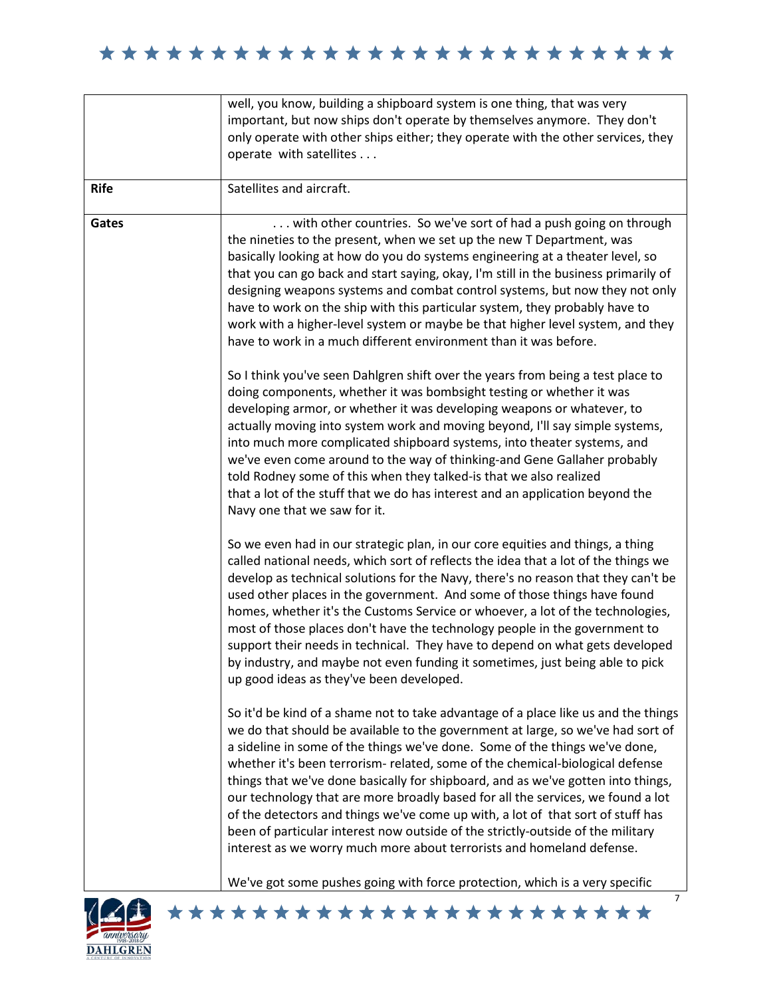|             | important, but now ships don't operate by themselves anymore. They don't<br>only operate with other ships either; they operate with the other services, they                                                                                                                                                                                                                                                                                                                                                                                                                                                                                                                                                                                                                                                                               |
|-------------|--------------------------------------------------------------------------------------------------------------------------------------------------------------------------------------------------------------------------------------------------------------------------------------------------------------------------------------------------------------------------------------------------------------------------------------------------------------------------------------------------------------------------------------------------------------------------------------------------------------------------------------------------------------------------------------------------------------------------------------------------------------------------------------------------------------------------------------------|
|             |                                                                                                                                                                                                                                                                                                                                                                                                                                                                                                                                                                                                                                                                                                                                                                                                                                            |
|             |                                                                                                                                                                                                                                                                                                                                                                                                                                                                                                                                                                                                                                                                                                                                                                                                                                            |
|             | operate with satellites                                                                                                                                                                                                                                                                                                                                                                                                                                                                                                                                                                                                                                                                                                                                                                                                                    |
| <b>Rife</b> | Satellites and aircraft.                                                                                                                                                                                                                                                                                                                                                                                                                                                                                                                                                                                                                                                                                                                                                                                                                   |
|             |                                                                                                                                                                                                                                                                                                                                                                                                                                                                                                                                                                                                                                                                                                                                                                                                                                            |
| Gates       | with other countries. So we've sort of had a push going on through<br>the nineties to the present, when we set up the new T Department, was<br>basically looking at how do you do systems engineering at a theater level, so<br>that you can go back and start saying, okay, I'm still in the business primarily of<br>designing weapons systems and combat control systems, but now they not only<br>have to work on the ship with this particular system, they probably have to<br>work with a higher-level system or maybe be that higher level system, and they<br>have to work in a much different environment than it was before.                                                                                                                                                                                                    |
|             | So I think you've seen Dahlgren shift over the years from being a test place to<br>doing components, whether it was bombsight testing or whether it was<br>developing armor, or whether it was developing weapons or whatever, to<br>actually moving into system work and moving beyond, I'll say simple systems,<br>into much more complicated shipboard systems, into theater systems, and<br>we've even come around to the way of thinking-and Gene Gallaher probably<br>told Rodney some of this when they talked-is that we also realized<br>that a lot of the stuff that we do has interest and an application beyond the<br>Navy one that we saw for it.                                                                                                                                                                            |
|             | So we even had in our strategic plan, in our core equities and things, a thing<br>called national needs, which sort of reflects the idea that a lot of the things we<br>develop as technical solutions for the Navy, there's no reason that they can't be<br>used other places in the government. And some of those things have found<br>homes, whether it's the Customs Service or whoever, a lot of the technologies,<br>most of those places don't have the technology people in the government to<br>support their needs in technical. They have to depend on what gets developed<br>by industry, and maybe not even funding it sometimes, just being able to pick<br>up good ideas as they've been developed.                                                                                                                         |
|             | So it'd be kind of a shame not to take advantage of a place like us and the things<br>we do that should be available to the government at large, so we've had sort of<br>a sideline in some of the things we've done. Some of the things we've done,<br>whether it's been terrorism- related, some of the chemical-biological defense<br>things that we've done basically for shipboard, and as we've gotten into things,<br>our technology that are more broadly based for all the services, we found a lot<br>of the detectors and things we've come up with, a lot of that sort of stuff has<br>been of particular interest now outside of the strictly-outside of the military<br>interest as we worry much more about terrorists and homeland defense.<br>We've got some pushes going with force protection, which is a very specific |

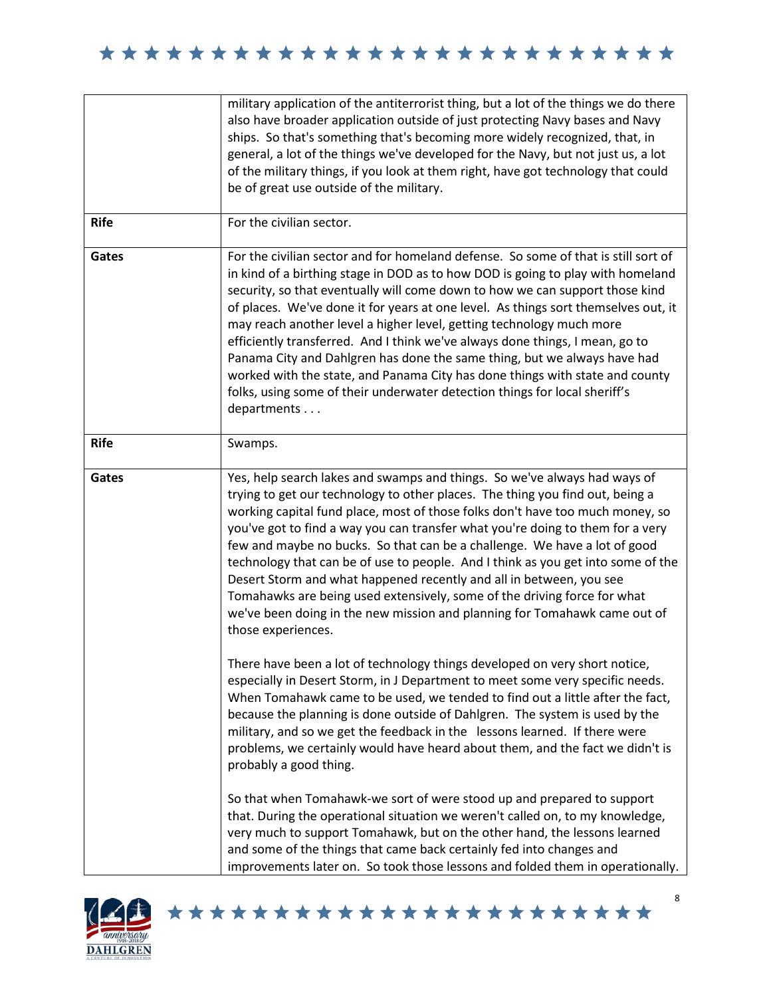|             | military application of the antiterrorist thing, but a lot of the things we do there<br>also have broader application outside of just protecting Navy bases and Navy<br>ships. So that's something that's becoming more widely recognized, that, in<br>general, a lot of the things we've developed for the Navy, but not just us, a lot<br>of the military things, if you look at them right, have got technology that could<br>be of great use outside of the military.                                                                                                                                                                                                                                                                                    |
|-------------|--------------------------------------------------------------------------------------------------------------------------------------------------------------------------------------------------------------------------------------------------------------------------------------------------------------------------------------------------------------------------------------------------------------------------------------------------------------------------------------------------------------------------------------------------------------------------------------------------------------------------------------------------------------------------------------------------------------------------------------------------------------|
| <b>Rife</b> | For the civilian sector.                                                                                                                                                                                                                                                                                                                                                                                                                                                                                                                                                                                                                                                                                                                                     |
| Gates       | For the civilian sector and for homeland defense. So some of that is still sort of<br>in kind of a birthing stage in DOD as to how DOD is going to play with homeland<br>security, so that eventually will come down to how we can support those kind<br>of places. We've done it for years at one level. As things sort themselves out, it<br>may reach another level a higher level, getting technology much more<br>efficiently transferred. And I think we've always done things, I mean, go to<br>Panama City and Dahlgren has done the same thing, but we always have had<br>worked with the state, and Panama City has done things with state and county<br>folks, using some of their underwater detection things for local sheriff's<br>departments |
| <b>Rife</b> | Swamps.                                                                                                                                                                                                                                                                                                                                                                                                                                                                                                                                                                                                                                                                                                                                                      |
| Gates       | Yes, help search lakes and swamps and things. So we've always had ways of<br>trying to get our technology to other places. The thing you find out, being a<br>working capital fund place, most of those folks don't have too much money, so<br>you've got to find a way you can transfer what you're doing to them for a very<br>few and maybe no bucks. So that can be a challenge. We have a lot of good<br>technology that can be of use to people. And I think as you get into some of the<br>Desert Storm and what happened recently and all in between, you see<br>Tomahawks are being used extensively, some of the driving force for what<br>we've been doing in the new mission and planning for Tomahawk came out of<br>those experiences.         |
|             | There have been a lot of technology things developed on very short notice,<br>especially in Desert Storm, in J Department to meet some very specific needs.<br>When Tomahawk came to be used, we tended to find out a little after the fact,<br>because the planning is done outside of Dahlgren. The system is used by the<br>military, and so we get the feedback in the lessons learned. If there were<br>problems, we certainly would have heard about them, and the fact we didn't is<br>probably a good thing.                                                                                                                                                                                                                                         |
|             | So that when Tomahawk-we sort of were stood up and prepared to support<br>that. During the operational situation we weren't called on, to my knowledge,<br>very much to support Tomahawk, but on the other hand, the lessons learned<br>and some of the things that came back certainly fed into changes and<br>improvements later on. So took those lessons and folded them in operationally.                                                                                                                                                                                                                                                                                                                                                               |

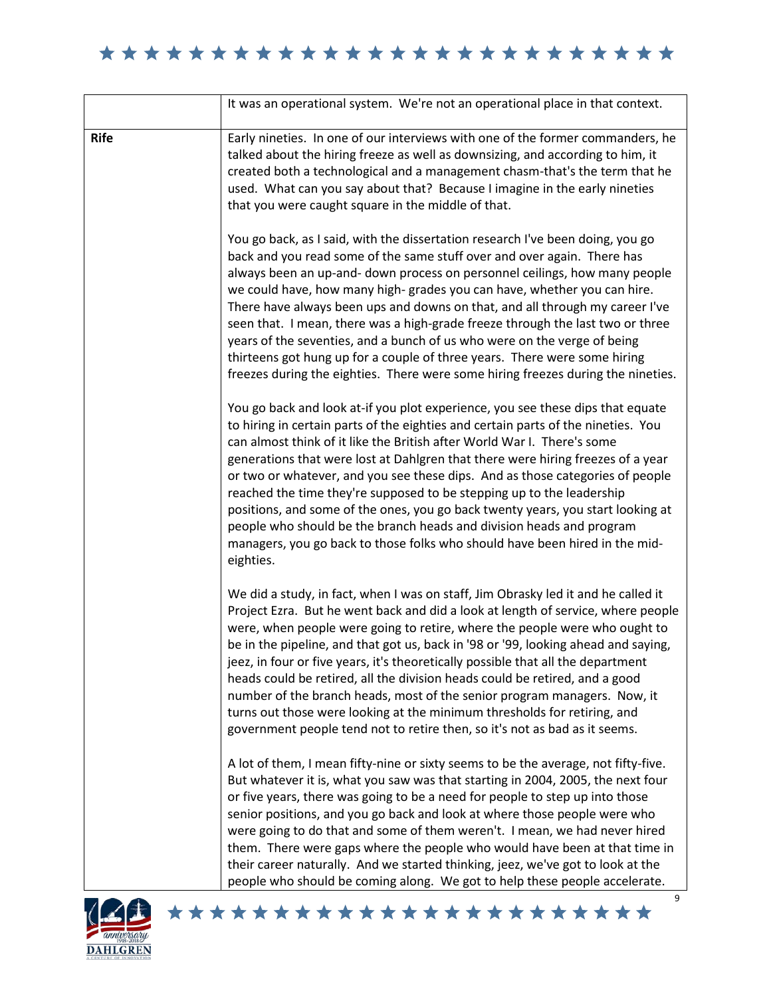|             | It was an operational system. We're not an operational place in that context.                                                                                                                                                                                                                                                                                                                                                                                                                                                                                                                                                                                                                                                                      |
|-------------|----------------------------------------------------------------------------------------------------------------------------------------------------------------------------------------------------------------------------------------------------------------------------------------------------------------------------------------------------------------------------------------------------------------------------------------------------------------------------------------------------------------------------------------------------------------------------------------------------------------------------------------------------------------------------------------------------------------------------------------------------|
| <b>Rife</b> | Early nineties. In one of our interviews with one of the former commanders, he<br>talked about the hiring freeze as well as downsizing, and according to him, it<br>created both a technological and a management chasm-that's the term that he<br>used. What can you say about that? Because I imagine in the early nineties<br>that you were caught square in the middle of that.                                                                                                                                                                                                                                                                                                                                                                |
|             | You go back, as I said, with the dissertation research I've been doing, you go<br>back and you read some of the same stuff over and over again. There has<br>always been an up-and- down process on personnel ceilings, how many people<br>we could have, how many high- grades you can have, whether you can hire.<br>There have always been ups and downs on that, and all through my career I've<br>seen that. I mean, there was a high-grade freeze through the last two or three<br>years of the seventies, and a bunch of us who were on the verge of being<br>thirteens got hung up for a couple of three years. There were some hiring<br>freezes during the eighties. There were some hiring freezes during the nineties.                 |
|             | You go back and look at-if you plot experience, you see these dips that equate<br>to hiring in certain parts of the eighties and certain parts of the nineties. You<br>can almost think of it like the British after World War I. There's some<br>generations that were lost at Dahlgren that there were hiring freezes of a year<br>or two or whatever, and you see these dips. And as those categories of people<br>reached the time they're supposed to be stepping up to the leadership<br>positions, and some of the ones, you go back twenty years, you start looking at<br>people who should be the branch heads and division heads and program<br>managers, you go back to those folks who should have been hired in the mid-<br>eighties. |
|             | We did a study, in fact, when I was on staff, Jim Obrasky led it and he called it<br>Project Ezra. But he went back and did a look at length of service, where people<br>were, when people were going to retire, where the people were who ought to<br>be in the pipeline, and that got us, back in '98 or '99, looking ahead and saying,<br>jeez, in four or five years, it's theoretically possible that all the department<br>heads could be retired, all the division heads could be retired, and a good<br>number of the branch heads, most of the senior program managers. Now, it<br>turns out those were looking at the minimum thresholds for retiring, and<br>government people tend not to retire then, so it's not as bad as it seems. |
|             | A lot of them, I mean fifty-nine or sixty seems to be the average, not fifty-five.<br>But whatever it is, what you saw was that starting in 2004, 2005, the next four<br>or five years, there was going to be a need for people to step up into those<br>senior positions, and you go back and look at where those people were who<br>were going to do that and some of them weren't. I mean, we had never hired<br>them. There were gaps where the people who would have been at that time in<br>their career naturally. And we started thinking, jeez, we've got to look at the<br>people who should be coming along. We got to help these people accelerate.                                                                                    |

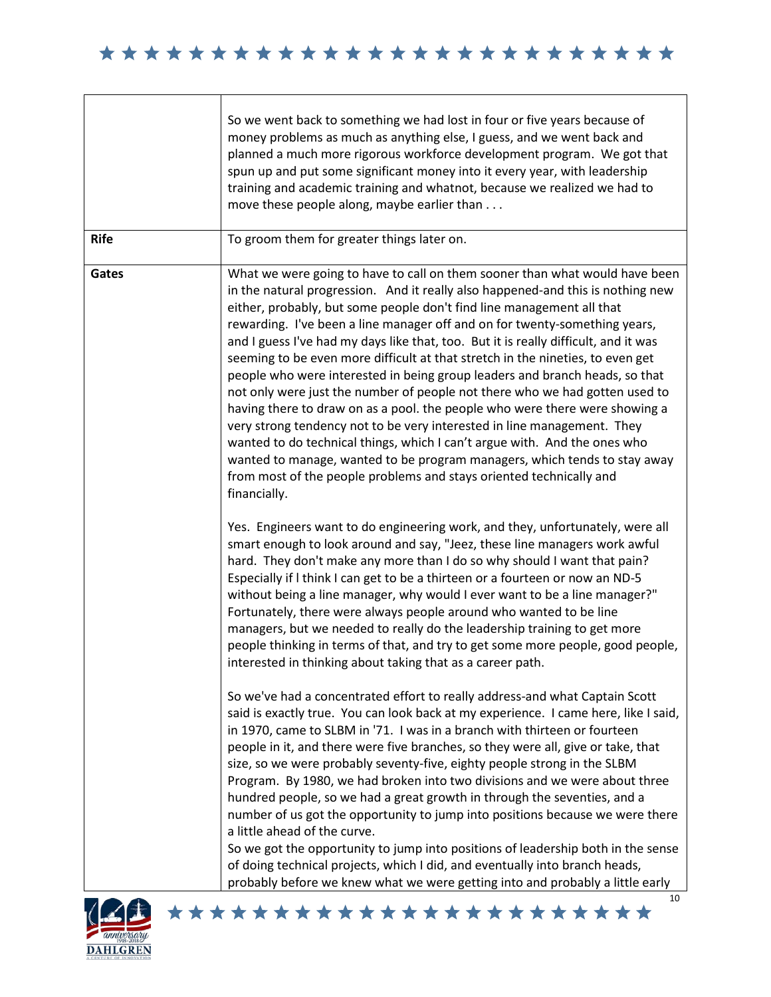|             | So we went back to something we had lost in four or five years because of<br>money problems as much as anything else, I guess, and we went back and<br>planned a much more rigorous workforce development program. We got that<br>spun up and put some significant money into it every year, with leadership<br>training and academic training and whatnot, because we realized we had to<br>move these people along, maybe earlier than                                                                                                                                                                                                                                                                                                                                                                                                                                                                                                                                                                                                                                |
|-------------|-------------------------------------------------------------------------------------------------------------------------------------------------------------------------------------------------------------------------------------------------------------------------------------------------------------------------------------------------------------------------------------------------------------------------------------------------------------------------------------------------------------------------------------------------------------------------------------------------------------------------------------------------------------------------------------------------------------------------------------------------------------------------------------------------------------------------------------------------------------------------------------------------------------------------------------------------------------------------------------------------------------------------------------------------------------------------|
| <b>Rife</b> | To groom them for greater things later on.                                                                                                                                                                                                                                                                                                                                                                                                                                                                                                                                                                                                                                                                                                                                                                                                                                                                                                                                                                                                                              |
| Gates       | What we were going to have to call on them sooner than what would have been<br>in the natural progression. And it really also happened-and this is nothing new<br>either, probably, but some people don't find line management all that<br>rewarding. I've been a line manager off and on for twenty-something years,<br>and I guess I've had my days like that, too. But it is really difficult, and it was<br>seeming to be even more difficult at that stretch in the nineties, to even get<br>people who were interested in being group leaders and branch heads, so that<br>not only were just the number of people not there who we had gotten used to<br>having there to draw on as a pool. the people who were there were showing a<br>very strong tendency not to be very interested in line management. They<br>wanted to do technical things, which I can't argue with. And the ones who<br>wanted to manage, wanted to be program managers, which tends to stay away<br>from most of the people problems and stays oriented technically and<br>financially. |
|             | Yes. Engineers want to do engineering work, and they, unfortunately, were all<br>smart enough to look around and say, "Jeez, these line managers work awful<br>hard. They don't make any more than I do so why should I want that pain?<br>Especially if I think I can get to be a thirteen or a fourteen or now an ND-5<br>without being a line manager, why would I ever want to be a line manager?"<br>Fortunately, there were always people around who wanted to be line<br>managers, but we needed to really do the leadership training to get more<br>people thinking in terms of that, and try to get some more people, good people,<br>interested in thinking about taking that as a career path.                                                                                                                                                                                                                                                                                                                                                               |
|             | So we've had a concentrated effort to really address-and what Captain Scott<br>said is exactly true. You can look back at my experience. I came here, like I said,<br>in 1970, came to SLBM in '71. I was in a branch with thirteen or fourteen<br>people in it, and there were five branches, so they were all, give or take, that<br>size, so we were probably seventy-five, eighty people strong in the SLBM<br>Program. By 1980, we had broken into two divisions and we were about three<br>hundred people, so we had a great growth in through the seventies, and a<br>number of us got the opportunity to jump into positions because we were there<br>a little ahead of the curve.<br>So we got the opportunity to jump into positions of leadership both in the sense<br>of doing technical projects, which I did, and eventually into branch heads,<br>probably before we knew what we were getting into and probably a little early                                                                                                                          |



\*\*\*\*\*\*\*\*\*\*\*\*\*\*\*\*\*\*\*\*\*\*\*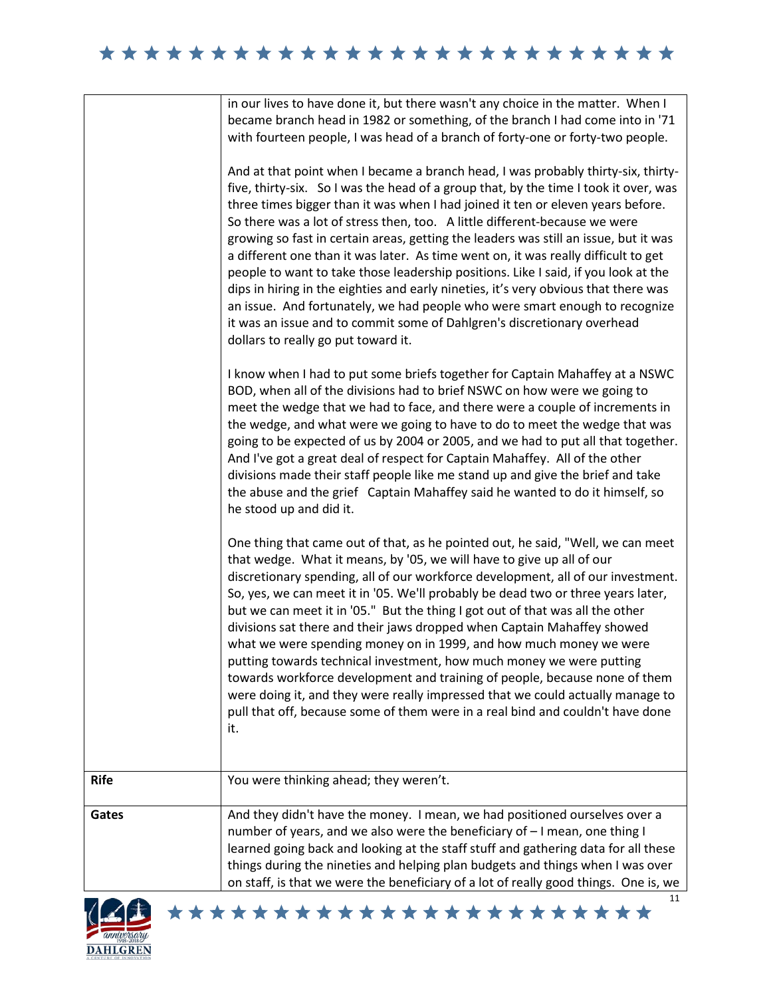|             | in our lives to have done it, but there wasn't any choice in the matter. When I<br>became branch head in 1982 or something, of the branch I had come into in '71<br>with fourteen people, I was head of a branch of forty-one or forty-two people.                                                                                                                                                                                                                                                                                                                                                                                                                                                                                                                                                                                                                                                     |
|-------------|--------------------------------------------------------------------------------------------------------------------------------------------------------------------------------------------------------------------------------------------------------------------------------------------------------------------------------------------------------------------------------------------------------------------------------------------------------------------------------------------------------------------------------------------------------------------------------------------------------------------------------------------------------------------------------------------------------------------------------------------------------------------------------------------------------------------------------------------------------------------------------------------------------|
|             | And at that point when I became a branch head, I was probably thirty-six, thirty-<br>five, thirty-six. So I was the head of a group that, by the time I took it over, was<br>three times bigger than it was when I had joined it ten or eleven years before.<br>So there was a lot of stress then, too. A little different-because we were<br>growing so fast in certain areas, getting the leaders was still an issue, but it was<br>a different one than it was later. As time went on, it was really difficult to get<br>people to want to take those leadership positions. Like I said, if you look at the<br>dips in hiring in the eighties and early nineties, it's very obvious that there was<br>an issue. And fortunately, we had people who were smart enough to recognize<br>it was an issue and to commit some of Dahlgren's discretionary overhead<br>dollars to really go put toward it. |
|             | I know when I had to put some briefs together for Captain Mahaffey at a NSWC<br>BOD, when all of the divisions had to brief NSWC on how were we going to<br>meet the wedge that we had to face, and there were a couple of increments in<br>the wedge, and what were we going to have to do to meet the wedge that was<br>going to be expected of us by 2004 or 2005, and we had to put all that together.<br>And I've got a great deal of respect for Captain Mahaffey. All of the other<br>divisions made their staff people like me stand up and give the brief and take<br>the abuse and the grief Captain Mahaffey said he wanted to do it himself, so<br>he stood up and did it.                                                                                                                                                                                                                 |
|             | One thing that came out of that, as he pointed out, he said, "Well, we can meet<br>that wedge. What it means, by '05, we will have to give up all of our<br>discretionary spending, all of our workforce development, all of our investment.<br>So, yes, we can meet it in '05. We'll probably be dead two or three years later,<br>but we can meet it in '05." But the thing I got out of that was all the other<br>divisions sat there and their jaws dropped when Captain Mahaffey showed<br>what we were spending money on in 1999, and how much money we were<br>putting towards technical investment, how much money we were putting<br>towards workforce development and training of people, because none of them<br>were doing it, and they were really impressed that we could actually manage to<br>pull that off, because some of them were in a real bind and couldn't have done<br>it.    |
| <b>Rife</b> | You were thinking ahead; they weren't.                                                                                                                                                                                                                                                                                                                                                                                                                                                                                                                                                                                                                                                                                                                                                                                                                                                                 |
| Gates       | And they didn't have the money. I mean, we had positioned ourselves over a<br>number of years, and we also were the beneficiary of - I mean, one thing I<br>learned going back and looking at the staff stuff and gathering data for all these<br>things during the nineties and helping plan budgets and things when I was over<br>on staff, is that we were the beneficiary of a lot of really good things. One is, we                                                                                                                                                                                                                                                                                                                                                                                                                                                                               |

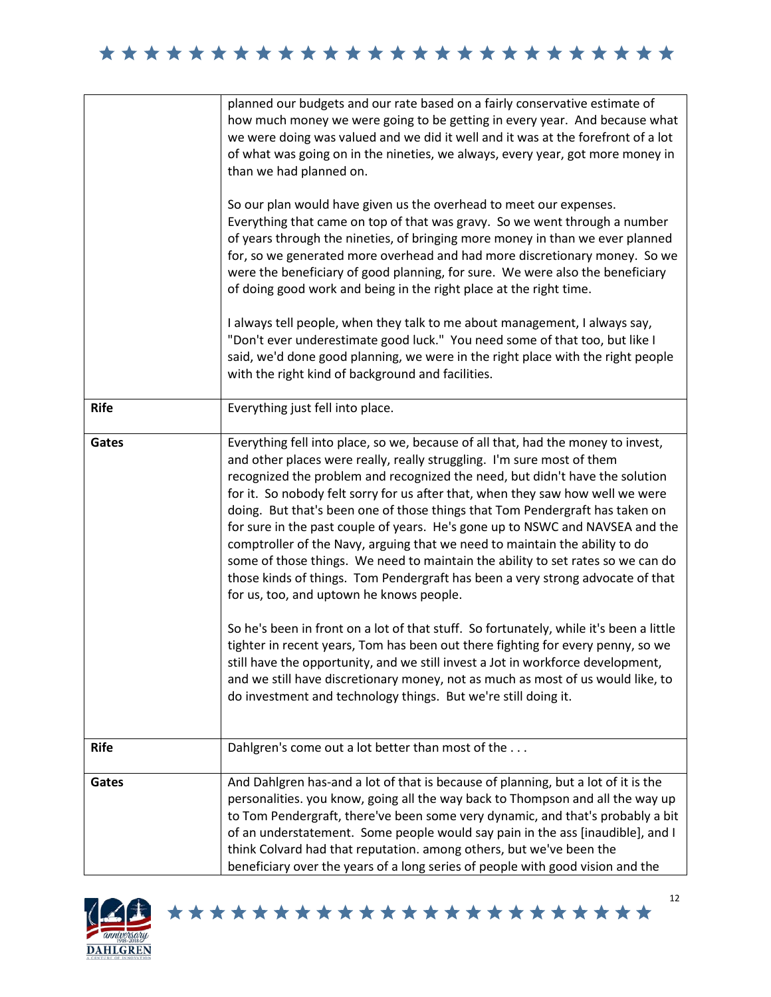|             | planned our budgets and our rate based on a fairly conservative estimate of<br>how much money we were going to be getting in every year. And because what<br>we were doing was valued and we did it well and it was at the forefront of a lot<br>of what was going on in the nineties, we always, every year, got more money in<br>than we had planned on.<br>So our plan would have given us the overhead to meet our expenses.<br>Everything that came on top of that was gravy. So we went through a number<br>of years through the nineties, of bringing more money in than we ever planned<br>for, so we generated more overhead and had more discretionary money. So we<br>were the beneficiary of good planning, for sure. We were also the beneficiary<br>of doing good work and being in the right place at the right time.<br>I always tell people, when they talk to me about management, I always say,<br>"Don't ever underestimate good luck." You need some of that too, but like I<br>said, we'd done good planning, we were in the right place with the right people<br>with the right kind of background and facilities.                                                                          |
|-------------|--------------------------------------------------------------------------------------------------------------------------------------------------------------------------------------------------------------------------------------------------------------------------------------------------------------------------------------------------------------------------------------------------------------------------------------------------------------------------------------------------------------------------------------------------------------------------------------------------------------------------------------------------------------------------------------------------------------------------------------------------------------------------------------------------------------------------------------------------------------------------------------------------------------------------------------------------------------------------------------------------------------------------------------------------------------------------------------------------------------------------------------------------------------------------------------------------------------------|
| <b>Rife</b> | Everything just fell into place.                                                                                                                                                                                                                                                                                                                                                                                                                                                                                                                                                                                                                                                                                                                                                                                                                                                                                                                                                                                                                                                                                                                                                                                   |
| Gates       | Everything fell into place, so we, because of all that, had the money to invest,<br>and other places were really, really struggling. I'm sure most of them<br>recognized the problem and recognized the need, but didn't have the solution<br>for it. So nobody felt sorry for us after that, when they saw how well we were<br>doing. But that's been one of those things that Tom Pendergraft has taken on<br>for sure in the past couple of years. He's gone up to NSWC and NAVSEA and the<br>comptroller of the Navy, arguing that we need to maintain the ability to do<br>some of those things. We need to maintain the ability to set rates so we can do<br>those kinds of things. Tom Pendergraft has been a very strong advocate of that<br>for us, too, and uptown he knows people.<br>So he's been in front on a lot of that stuff. So fortunately, while it's been a little<br>tighter in recent years, Tom has been out there fighting for every penny, so we<br>still have the opportunity, and we still invest a Jot in workforce development,<br>and we still have discretionary money, not as much as most of us would like, to<br>do investment and technology things. But we're still doing it. |
| <b>Rife</b> | Dahlgren's come out a lot better than most of the                                                                                                                                                                                                                                                                                                                                                                                                                                                                                                                                                                                                                                                                                                                                                                                                                                                                                                                                                                                                                                                                                                                                                                  |
| Gates       | And Dahlgren has-and a lot of that is because of planning, but a lot of it is the<br>personalities. you know, going all the way back to Thompson and all the way up<br>to Tom Pendergraft, there've been some very dynamic, and that's probably a bit<br>of an understatement. Some people would say pain in the ass [inaudible], and I<br>think Colvard had that reputation. among others, but we've been the<br>beneficiary over the years of a long series of people with good vision and the                                                                                                                                                                                                                                                                                                                                                                                                                                                                                                                                                                                                                                                                                                                   |

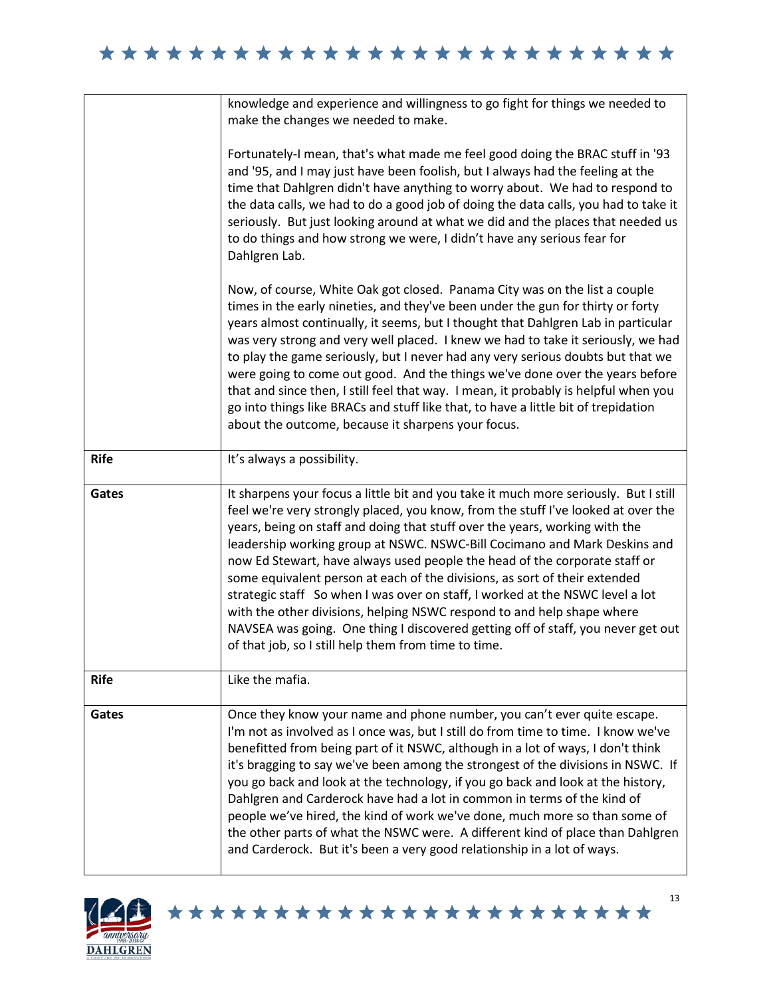|             | knowledge and experience and willingness to go fight for things we needed to<br>make the changes we needed to make.                                                                                                                                                                                                                                                                                                                                                                                                                                                                                                                                                                                                                                                                                      |
|-------------|----------------------------------------------------------------------------------------------------------------------------------------------------------------------------------------------------------------------------------------------------------------------------------------------------------------------------------------------------------------------------------------------------------------------------------------------------------------------------------------------------------------------------------------------------------------------------------------------------------------------------------------------------------------------------------------------------------------------------------------------------------------------------------------------------------|
|             | Fortunately-I mean, that's what made me feel good doing the BRAC stuff in '93<br>and '95, and I may just have been foolish, but I always had the feeling at the<br>time that Dahlgren didn't have anything to worry about. We had to respond to<br>the data calls, we had to do a good job of doing the data calls, you had to take it<br>seriously. But just looking around at what we did and the places that needed us<br>to do things and how strong we were, I didn't have any serious fear for<br>Dahlgren Lab.                                                                                                                                                                                                                                                                                    |
|             | Now, of course, White Oak got closed. Panama City was on the list a couple<br>times in the early nineties, and they've been under the gun for thirty or forty<br>years almost continually, it seems, but I thought that Dahlgren Lab in particular<br>was very strong and very well placed. I knew we had to take it seriously, we had<br>to play the game seriously, but I never had any very serious doubts but that we<br>were going to come out good. And the things we've done over the years before<br>that and since then, I still feel that way. I mean, it probably is helpful when you<br>go into things like BRACs and stuff like that, to have a little bit of trepidation<br>about the outcome, because it sharpens your focus.                                                             |
| <b>Rife</b> | It's always a possibility.                                                                                                                                                                                                                                                                                                                                                                                                                                                                                                                                                                                                                                                                                                                                                                               |
| Gates       | It sharpens your focus a little bit and you take it much more seriously. But I still<br>feel we're very strongly placed, you know, from the stuff I've looked at over the<br>years, being on staff and doing that stuff over the years, working with the<br>leadership working group at NSWC. NSWC-Bill Cocimano and Mark Deskins and<br>now Ed Stewart, have always used people the head of the corporate staff or<br>some equivalent person at each of the divisions, as sort of their extended<br>strategic staff So when I was over on staff, I worked at the NSWC level a lot<br>with the other divisions, helping NSWC respond to and help shape where<br>NAVSEA was going. One thing I discovered getting off of staff, you never get out<br>of that job, so I still help them from time to time. |
| <b>Rife</b> | Like the mafia.                                                                                                                                                                                                                                                                                                                                                                                                                                                                                                                                                                                                                                                                                                                                                                                          |
| Gates       | Once they know your name and phone number, you can't ever quite escape.<br>I'm not as involved as I once was, but I still do from time to time. I know we've<br>benefitted from being part of it NSWC, although in a lot of ways, I don't think<br>it's bragging to say we've been among the strongest of the divisions in NSWC. If<br>you go back and look at the technology, if you go back and look at the history,<br>Dahlgren and Carderock have had a lot in common in terms of the kind of<br>people we've hired, the kind of work we've done, much more so than some of<br>the other parts of what the NSWC were. A different kind of place than Dahlgren<br>and Carderock. But it's been a very good relationship in a lot of ways.                                                             |

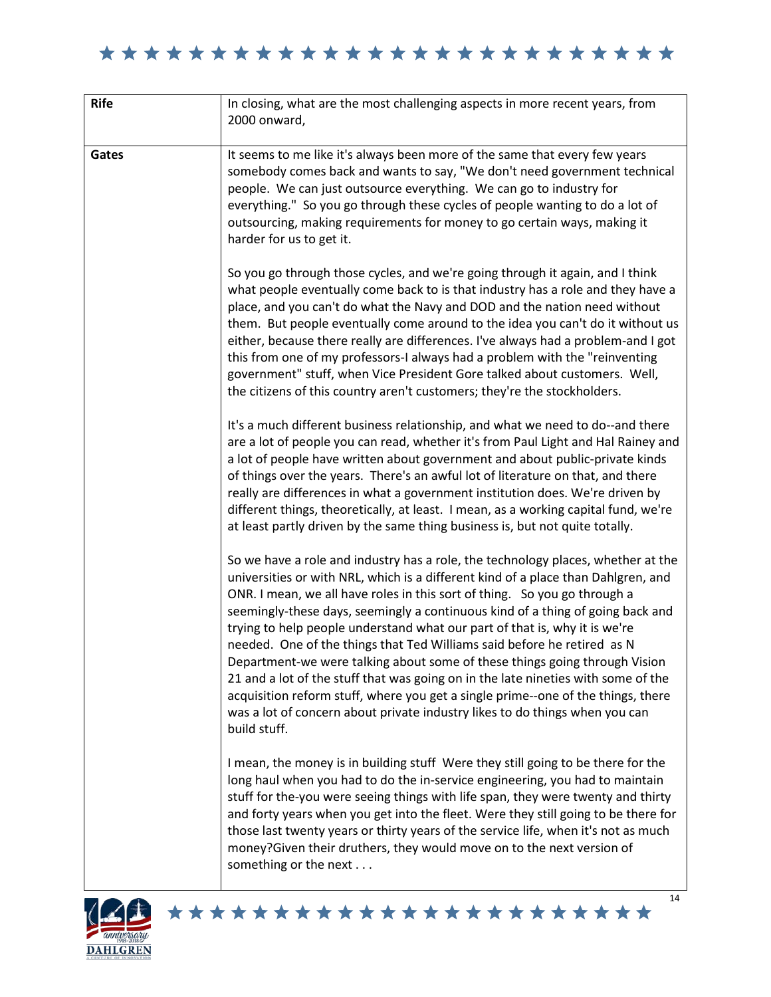| <b>Rife</b> | In closing, what are the most challenging aspects in more recent years, from<br>2000 onward,                                                                                                                                                                                                                                                                                                                                                                                                                                                                                                                                                                                                                                                                                                                                                        |
|-------------|-----------------------------------------------------------------------------------------------------------------------------------------------------------------------------------------------------------------------------------------------------------------------------------------------------------------------------------------------------------------------------------------------------------------------------------------------------------------------------------------------------------------------------------------------------------------------------------------------------------------------------------------------------------------------------------------------------------------------------------------------------------------------------------------------------------------------------------------------------|
| Gates       | It seems to me like it's always been more of the same that every few years<br>somebody comes back and wants to say, "We don't need government technical<br>people. We can just outsource everything. We can go to industry for<br>everything." So you go through these cycles of people wanting to do a lot of<br>outsourcing, making requirements for money to go certain ways, making it<br>harder for us to get it.                                                                                                                                                                                                                                                                                                                                                                                                                              |
|             | So you go through those cycles, and we're going through it again, and I think<br>what people eventually come back to is that industry has a role and they have a<br>place, and you can't do what the Navy and DOD and the nation need without<br>them. But people eventually come around to the idea you can't do it without us<br>either, because there really are differences. I've always had a problem-and I got<br>this from one of my professors-I always had a problem with the "reinventing<br>government" stuff, when Vice President Gore talked about customers. Well,<br>the citizens of this country aren't customers; they're the stockholders.                                                                                                                                                                                        |
|             | It's a much different business relationship, and what we need to do--and there<br>are a lot of people you can read, whether it's from Paul Light and Hal Rainey and<br>a lot of people have written about government and about public-private kinds<br>of things over the years. There's an awful lot of literature on that, and there<br>really are differences in what a government institution does. We're driven by<br>different things, theoretically, at least. I mean, as a working capital fund, we're<br>at least partly driven by the same thing business is, but not quite totally.                                                                                                                                                                                                                                                      |
|             | So we have a role and industry has a role, the technology places, whether at the<br>universities or with NRL, which is a different kind of a place than Dahlgren, and<br>ONR. I mean, we all have roles in this sort of thing. So you go through a<br>seemingly-these days, seemingly a continuous kind of a thing of going back and<br>trying to help people understand what our part of that is, why it is we're<br>needed. One of the things that Ted Williams said before he retired as N<br>Department-we were talking about some of these things going through Vision<br>21 and a lot of the stuff that was going on in the late nineties with some of the<br>acquisition reform stuff, where you get a single prime--one of the things, there<br>was a lot of concern about private industry likes to do things when you can<br>build stuff. |
|             | I mean, the money is in building stuff Were they still going to be there for the<br>long haul when you had to do the in-service engineering, you had to maintain<br>stuff for the-you were seeing things with life span, they were twenty and thirty<br>and forty years when you get into the fleet. Were they still going to be there for<br>those last twenty years or thirty years of the service life, when it's not as much<br>money? Given their druthers, they would move on to the next version of<br>something or the next                                                                                                                                                                                                                                                                                                                 |

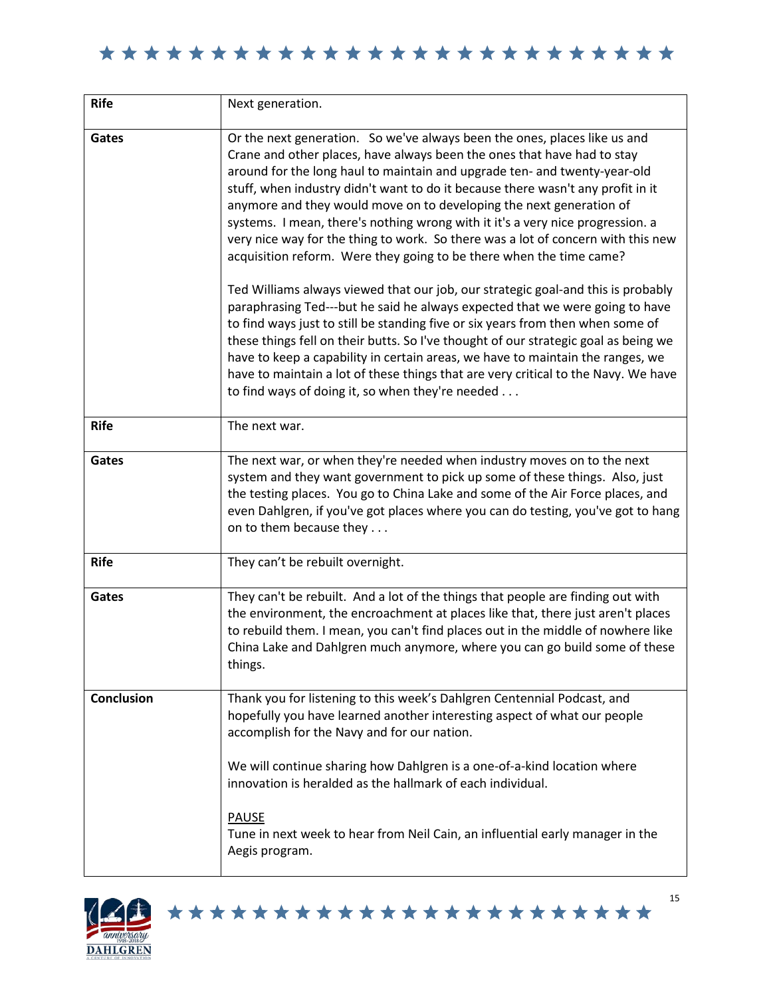| <b>Rife</b> | Next generation.                                                                                                                                                                                                                                                                                                                                                                                                                                                                                                                                                                                                                                                                                                                                                                                                                                                                                                                                                                                                                                                                                                                                                                                                   |
|-------------|--------------------------------------------------------------------------------------------------------------------------------------------------------------------------------------------------------------------------------------------------------------------------------------------------------------------------------------------------------------------------------------------------------------------------------------------------------------------------------------------------------------------------------------------------------------------------------------------------------------------------------------------------------------------------------------------------------------------------------------------------------------------------------------------------------------------------------------------------------------------------------------------------------------------------------------------------------------------------------------------------------------------------------------------------------------------------------------------------------------------------------------------------------------------------------------------------------------------|
| Gates       | Or the next generation. So we've always been the ones, places like us and<br>Crane and other places, have always been the ones that have had to stay<br>around for the long haul to maintain and upgrade ten- and twenty-year-old<br>stuff, when industry didn't want to do it because there wasn't any profit in it<br>anymore and they would move on to developing the next generation of<br>systems. I mean, there's nothing wrong with it it's a very nice progression. a<br>very nice way for the thing to work. So there was a lot of concern with this new<br>acquisition reform. Were they going to be there when the time came?<br>Ted Williams always viewed that our job, our strategic goal-and this is probably<br>paraphrasing Ted---but he said he always expected that we were going to have<br>to find ways just to still be standing five or six years from then when some of<br>these things fell on their butts. So I've thought of our strategic goal as being we<br>have to keep a capability in certain areas, we have to maintain the ranges, we<br>have to maintain a lot of these things that are very critical to the Navy. We have<br>to find ways of doing it, so when they're needed |
| <b>Rife</b> | The next war.                                                                                                                                                                                                                                                                                                                                                                                                                                                                                                                                                                                                                                                                                                                                                                                                                                                                                                                                                                                                                                                                                                                                                                                                      |
| Gates       | The next war, or when they're needed when industry moves on to the next<br>system and they want government to pick up some of these things. Also, just<br>the testing places. You go to China Lake and some of the Air Force places, and<br>even Dahlgren, if you've got places where you can do testing, you've got to hang<br>on to them because they                                                                                                                                                                                                                                                                                                                                                                                                                                                                                                                                                                                                                                                                                                                                                                                                                                                            |
| <b>Rife</b> | They can't be rebuilt overnight.                                                                                                                                                                                                                                                                                                                                                                                                                                                                                                                                                                                                                                                                                                                                                                                                                                                                                                                                                                                                                                                                                                                                                                                   |
| Gates       | They can't be rebuilt. And a lot of the things that people are finding out with<br>the environment, the encroachment at places like that, there just aren't places<br>to rebuild them. I mean, you can't find places out in the middle of nowhere like<br>China Lake and Dahlgren much anymore, where you can go build some of these<br>things.                                                                                                                                                                                                                                                                                                                                                                                                                                                                                                                                                                                                                                                                                                                                                                                                                                                                    |
| Conclusion  | Thank you for listening to this week's Dahlgren Centennial Podcast, and<br>hopefully you have learned another interesting aspect of what our people<br>accomplish for the Navy and for our nation.                                                                                                                                                                                                                                                                                                                                                                                                                                                                                                                                                                                                                                                                                                                                                                                                                                                                                                                                                                                                                 |
|             | We will continue sharing how Dahlgren is a one-of-a-kind location where<br>innovation is heralded as the hallmark of each individual.                                                                                                                                                                                                                                                                                                                                                                                                                                                                                                                                                                                                                                                                                                                                                                                                                                                                                                                                                                                                                                                                              |
|             | <b>PAUSE</b><br>Tune in next week to hear from Neil Cain, an influential early manager in the<br>Aegis program.                                                                                                                                                                                                                                                                                                                                                                                                                                                                                                                                                                                                                                                                                                                                                                                                                                                                                                                                                                                                                                                                                                    |